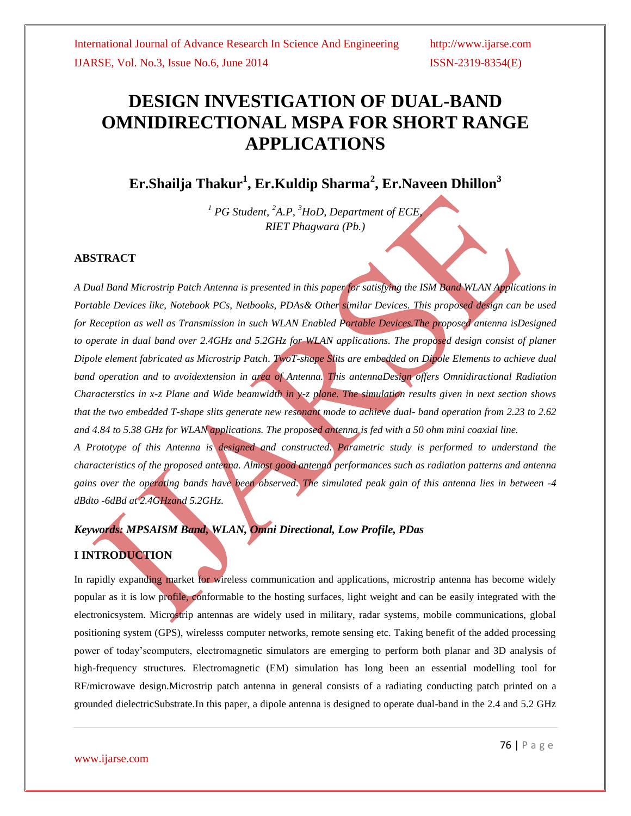# **DESIGN INVESTIGATION OF DUAL-BAND OMNIDIRECTIONAL MSPA FOR SHORT RANGE APPLICATIONS**

**Er.Shailja Thakur<sup>1</sup> , Er.Kuldip Sharma<sup>2</sup> , Er.Naveen Dhillon<sup>3</sup>**

*<sup>1</sup> PG Student, <sup>2</sup>A.P, <sup>3</sup>HoD, Department of ECE, RIET Phagwara (Pb.)*

### **ABSTRACT**

*A Dual Band Microstrip Patch Antenna is presented in this paper for satisfying the ISM Band WLAN Applications in Portable Devices like, Notebook PCs, Netbooks, PDAs& Other similar Devices. This proposed design can be used for Reception as well as Transmission in such WLAN Enabled Portable Devices.The proposed antenna isDesigned to operate in dual band over 2.4GHz and 5.2GHz for WLAN applications. The proposed design consist of planer Dipole element fabricated as Microstrip Patch. TwoT-shape Slits are embedded on Dipole Elements to achieve dual band operation and to avoidextension in area of Antenna. This antennaDesign offers Omnidiractional Radiation Characterstics in x-z Plane and Wide beamwidth in y-z plane. The simulation results given in next section shows that the two embedded T-shape slits generate new resonant mode to achieve dual- band operation from 2.23 to 2.62 and 4.84 to 5.38 GHz for WLAN applications. The proposed antenna is fed with a 50 ohm mini coaxial line.*

*A Prototype of this Antenna is designed and constructed. Parametric study is performed to understand the characteristics of the proposed antenna. Almost good antenna performances such as radiation patterns and antenna gains over the operating bands have been observed. The simulated peak gain of this antenna lies in between -4 dBdto -6dBd at 2.4GHzand 5.2GHz.*

### *Keywords: MPSAISM Band, WLAN, Omni Directional, Low Profile, PDas*

### **I INTRODUCTION**

In rapidly expanding market for wireless communication and applications, microstrip antenna has become widely popular as it is low profile, conformable to the hosting surfaces, light weight and can be easily integrated with the electronicsystem. Microstrip antennas are widely used in military, radar systems, mobile communications, global positioning system (GPS), wirelesss computer networks, remote sensing etc. Taking benefit of the added processing power of today'scomputers, electromagnetic simulators are emerging to perform both planar and 3D analysis of high-frequency structures. Electromagnetic (EM) simulation has long been an essential modelling tool for RF/microwave design.Microstrip patch antenna in general consists of a radiating conducting patch printed on a grounded dielectricSubstrate.In this paper, a dipole antenna is designed to operate dual-band in the 2.4 and 5.2 GHz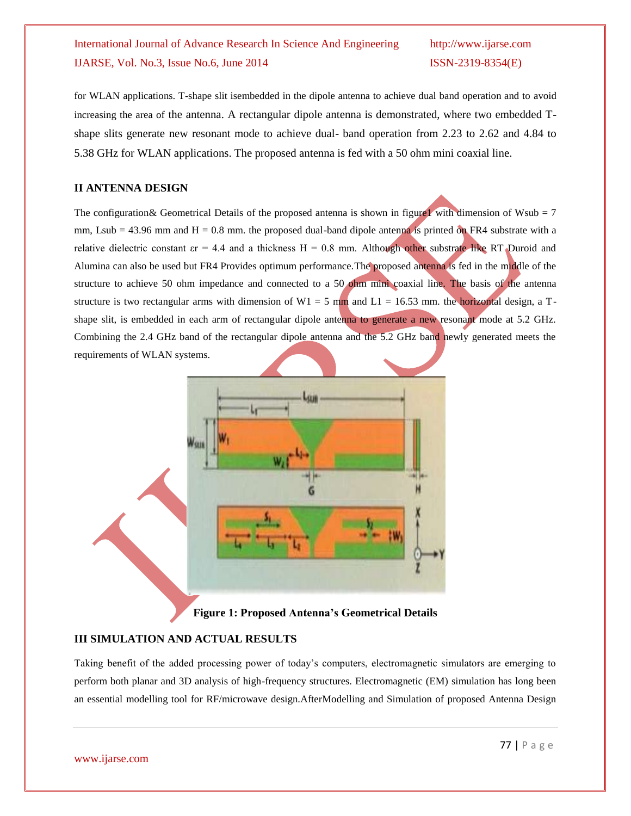## International Journal of Advance Research In Science And Engineering http://www.ijarse.com IJARSE, Vol. No.3, Issue No.6, June 2014 ISSN-2319-8354(E)

for WLAN applications. T-shape slit isembedded in the dipole antenna to achieve dual band operation and to avoid increasing the area of the antenna. A rectangular dipole antenna is demonstrated, where two embedded Tshape slits generate new resonant mode to achieve dual- band operation from 2.23 to 2.62 and 4.84 to 5.38 GHz for WLAN applications. The proposed antenna is fed with a 50 ohm mini coaxial line.

### **II ANTENNA DESIGN**

The configuration & Geometrical Details of the proposed antenna is shown in figure 1 with dimension of Wsub = 7 mm, Lsub = 43.96 mm and  $H = 0.8$  mm. the proposed dual-band dipole antenna is printed on FR4 substrate with a relative dielectric constant  $\epsilon r = 4.4$  and a thickness  $H = 0.8$  mm. Although other substrate like RT Duroid and Alumina can also be used but FR4 Provides optimum performance.The proposed antenna is fed in the middle of the structure to achieve 50 ohm impedance and connected to a 50 ohm mini coaxial line. The basis of the antenna structure is two rectangular arms with dimension of  $W1 = 5$  mm and  $L1 = 16.53$  mm. the horizontal design, a Tshape slit, is embedded in each arm of rectangular dipole antenna to generate a new resonant mode at 5.2 GHz. Combining the 2.4 GHz band of the rectangular dipole antenna and the 5.2 GHz band newly generated meets the requirements of WLAN systems.



**Figure 1: Proposed Antenna's Geometrical Details**

### **III SIMULATION AND ACTUAL RESULTS**

Taking benefit of the added processing power of today's computers, electromagnetic simulators are emerging to perform both planar and 3D analysis of high-frequency structures. Electromagnetic (EM) simulation has long been an essential modelling tool for RF/microwave design.AfterModelling and Simulation of proposed Antenna Design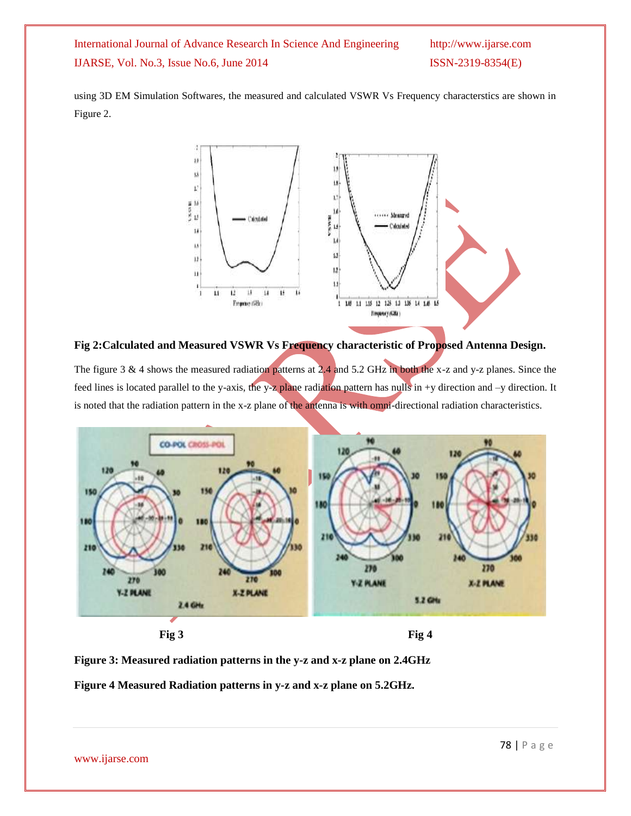International Journal of Advance Research In Science And Engineering http://www.ijarse.com IJARSE, Vol. No.3, Issue No.6, June 2014 ISSN-2319-8354(E)

using 3D EM Simulation Softwares, the measured and calculated VSWR Vs Frequency characterstics are shown in Figure 2.



**Fig 2:Calculated and Measured VSWR Vs Frequency characteristic of Proposed Antenna Design.**

The figure 3 & 4 shows the measured radiation patterns at 2.4 and 5.2 GHz in both the x-z and y-z planes. Since the feed lines is located parallel to the y-axis, the y-z plane radiation pattern has nulls in +y direction and -y direction. It is noted that the radiation pattern in the x-z plane of the antenna is with omni-directional radiation characteristics.



**Fig** 3 **Fig** 4

**Figure 3: Measured radiation patterns in the y-z and x-z plane on 2.4GHz**

**Figure 4 Measured Radiation patterns in y-z and x-z plane on 5.2GHz.**